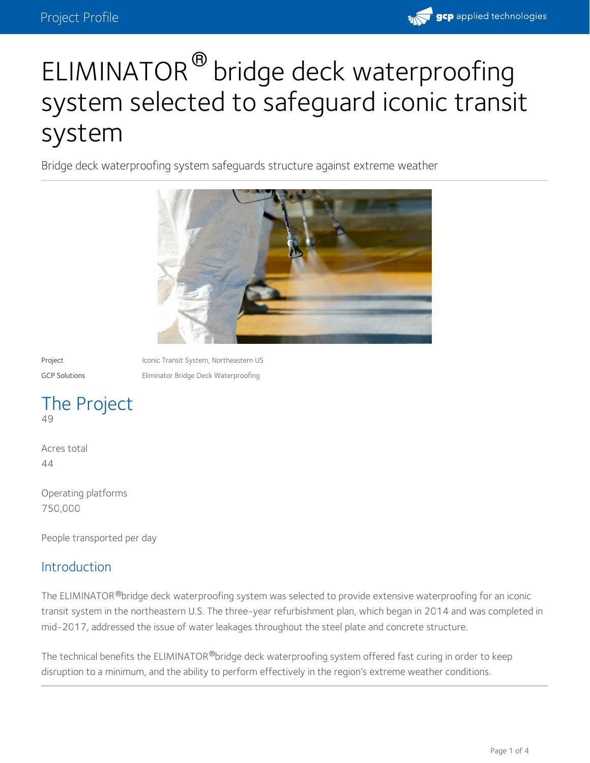

# ELIMINATOR<sup>®</sup> bridge deck waterproofing system selected to safeguard iconic transit system

Bridge deck waterproofing system safeguards structure against extreme weather



Project **Iconic Transit System, Northeastern US** GCP Solutions Eliminator Bridge Deck Waterproofing

# The Project 49

Acres total 44

Operating platforms 750,000

People transported per day

#### **Introduction**

The ELIMINATOR®bridge deck waterproofing system was selected to provide extensive waterproofing for an iconic transit system in the northeastern U.S. The three-year refurbishment plan, which began in 2014 and was completed in mid-2017, addressed the issue of water leakages throughout the steel plate and concrete structure.

The technical benefits the ELIMINATOR®bridge deck waterproofing system offered fast curing in order to keep  $\,$ disruption to a minimum, and the ability to perform effectively in the region's extreme weather conditions.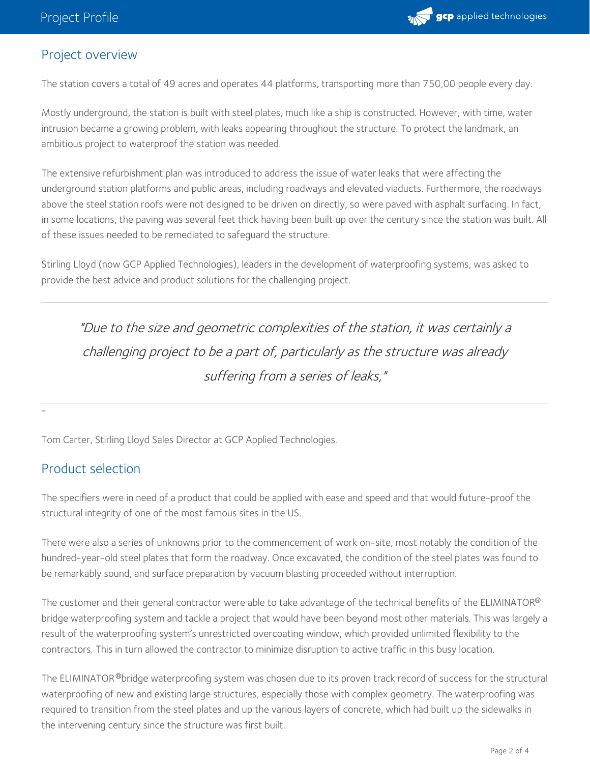

### Project overview

The station covers a total of 49 acres and operates 44 platforms, transporting more than 750,00 people every day.

Mostly underground, the station is built with steel plates, much like a ship is constructed. However, with time, water intrusion became a growing problem, with leaks appearing throughout the structure. To protect the landmark, an ambitious project to waterproof the station was needed.

The extensive refurbishment plan was introduced to address the issue of water leaks that were affecting the underground station platforms and public areas, including roadways and elevated viaducts. Furthermore, the roadways above the steel station roofs were not designed to be driven on directly, so were paved with asphalt surfacing. In fact, in some locations, the paving was several feet thick having been built up over the century since the station was built. All of these issues needed to be remediated to safeguard the structure.

Stirling Lloyd (now GCP Applied Technologies), leaders in the development of waterproofing systems, was asked to provide the best advice and product solutions for the challenging project.

"Due to the size and geometric complexities of the station, it was certainly <sup>a</sup> challenging project to be <sup>a</sup> part of, particularly as the structure was already suffering from <sup>a</sup> series of leaks,"

Tom Carter, Stirling Lloyd Sales Director at GCP Applied Technologies.

#### Product selection

-

The specifiers were in need of a product that could be applied with ease and speed and that would future-proof the structural integrity of one of the most famous sites in the US.

There were also a series of unknowns prior to the commencement of work on-site, most notably the condition of the hundred-year-old steel plates that form the roadway. Once excavated, the condition of the steel plates was found to be remarkably sound, and surface preparation by vacuum blasting proceeded without interruption.

The customer and their general contractor were able to take advantage of the technical benefits of the ELIMINATOR® bridge waterproofing system and tackle a project that would have been beyond most other materials. This was largely a result of the waterproofing system's unrestricted overcoating window, which provided unlimited flexibility to the contractors. This in turn allowed the contractor to minimize disruption to active traffic in this busy location.

The ELIMINATOR <sup>®</sup>bridge waterproofing system was chosen due to its proven track record of success for the structural waterproofing of new and existing large structures, especially those with complex geometry. The waterproofing was required to transition from the steel plates and up the various layers of concrete, which had built up the sidewalks in the intervening century since the structure was first built.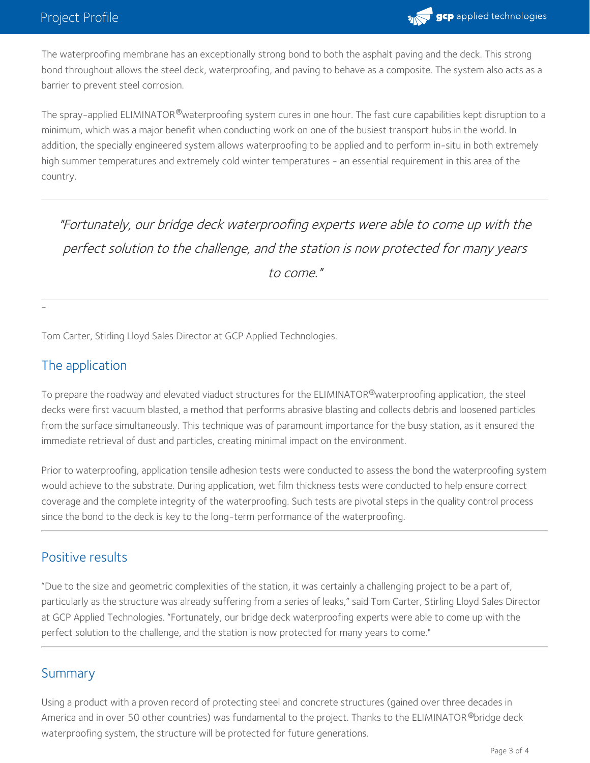

The waterproofing membrane has an exceptionally strong bond to both the asphalt paving and the deck. This strong bond throughout allows the steel deck, waterproofing, and paving to behave as a composite. The system also acts as a barrier to prevent steel corrosion.

The spray-applied ELIMINATOR®waterproofing system cures in one hour. The fast cure capabilities kept disruption to a minimum, which was a major benefit when conducting work on one of the busiest transport hubs in the world. In addition, the specially engineered system allows waterproofing to be applied and to perform in-situ in both extremely high summer temperatures and extremely cold winter temperatures - an essential requirement in this area of the country.

"Fortunately, our bridge deck waterproofing experts were able to come up with the perfect solution to the challenge, and the station is now protected for many years to come."

Tom Carter, Stirling Lloyd Sales Director at GCP Applied Technologies.

## The application

-

To prepare the roadway and elevated viaduct structures for the ELIMINATOR®waterproofing application, the steel decks were first vacuum blasted, a method that performs abrasive blasting and collects debris and loosened particles from the surface simultaneously. This technique was of paramount importance for the busy station, as it ensured the immediate retrieval of dust and particles, creating minimal impact on the environment.

Prior to waterproofing, application tensile adhesion tests were conducted to assess the bond the waterproofing system would achieve to the substrate. During application, wet film thickness tests were conducted to help ensure correct coverage and the complete integrity of the waterproofing. Such tests are pivotal steps in the quality control process since the bond to the deck is key to the long-term performance of the waterproofing.

#### Positive results

"Due to the size and geometric complexities of the station, it was certainly a challenging project to be a part of, particularly as the structure was already suffering from a series of leaks," said Tom Carter, Stirling Lloyd Sales Director at GCP Applied Technologies. "Fortunately, our bridge deck waterproofing experts were able to come up with the perfect solution to the challenge, and the station is now protected for many years to come."

#### Summary

Using a product with a proven record of protecting steel and concrete structures (gained over three decades in America and in over 50 other countries) was fundamental to the project. Thanks to the ELIMINATOR ®bridge deck waterproofing system, the structure will be protected for future generations.